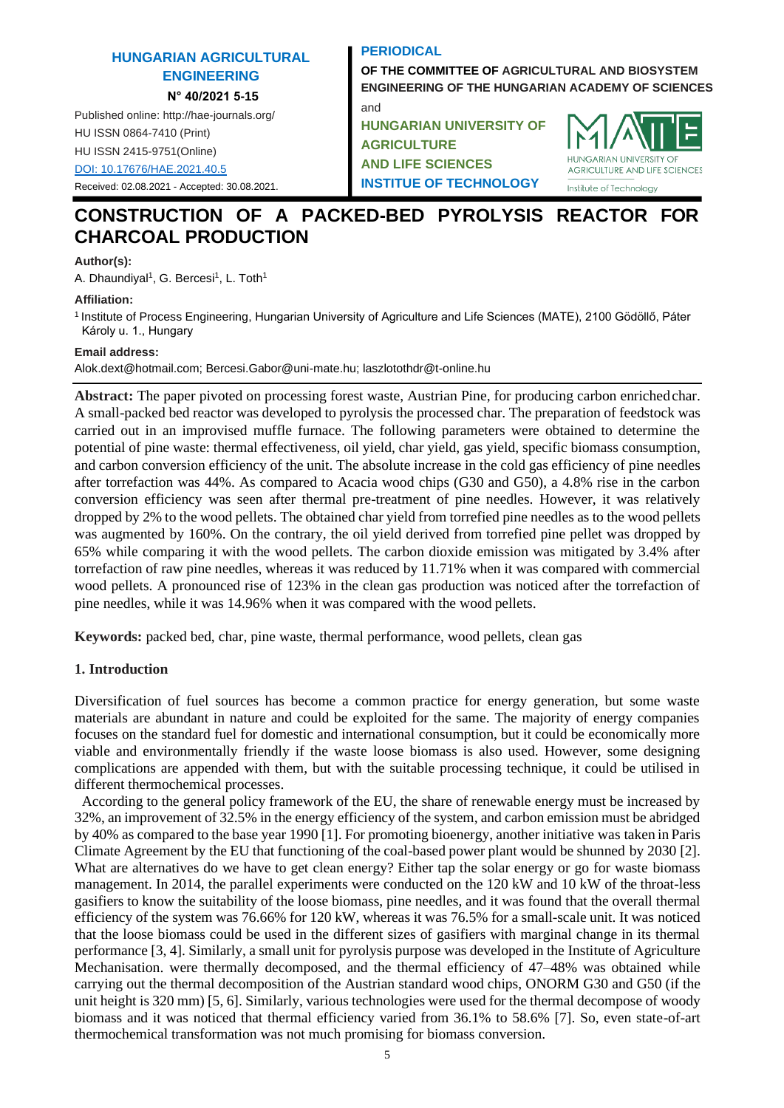# **HUNGARIAN AGRICULTURAL ENGINEERING N° 40/2021 5-15**

Published online:<http://hae-journals.org/> HU ISSN 0864-7410 (Print) HU ISSN 2415-9751(Online)

[DOI: 10.17676/HAE.2021.40.5](https://doi.org/10.17676/HAE.2021.40.5)

Received: 02.08.2021 - Accepted: 30.08.2021.

# **PERIODICAL**

**OF THE COMMITTEE OF AGRICULTURAL AND BIOSYSTEM ENGINEERING OF THE HUNGARIAN ACADEMY OF SCIENCES** and

**HUNGARIAN UNIVERSITY OF AGRICULTURE AND LIFE SCIENCES INSTITUE OF TECHNOLOGY**



# **CONSTRUCTION OF A PACKED-BED PYROLYSIS REACTOR FOR CHARCOAL PRODUCTION**

### **Author(s):**

A. Dhaundiyal<sup>1</sup>, G. Bercesi<sup>1</sup>, L. Toth<sup>1</sup>

### **Affiliation:**

1 Institute of Process Engineering, Hungarian University of Agriculture and Life Sciences (MATE), 2100 Gödöllő, Páter Károly u. 1., Hungary

### **Email address:**

Alok.dext@hotmail.com; Bercesi.Gabor@uni-mate.hu[; laszlotothdr@t-online.hu](mailto:laszlotothdr@t-online.hu)

**Abstract:** The paper pivoted on processing forest waste, Austrian Pine, for producing carbon enrichedchar. A small-packed bed reactor was developed to pyrolysis the processed char. The preparation of feedstock was carried out in an improvised muffle furnace. The following parameters were obtained to determine the potential of pine waste: thermal effectiveness, oil yield, char yield, gas yield, specific biomass consumption, and carbon conversion efficiency of the unit. The absolute increase in the cold gas efficiency of pine needles after torrefaction was 44%. As compared to Acacia wood chips (G30 and G50), a 4.8% rise in the carbon conversion efficiency was seen after thermal pre-treatment of pine needles. However, it was relatively dropped by 2% to the wood pellets. The obtained char yield from torrefied pine needles as to the wood pellets was augmented by 160%. On the contrary, the oil yield derived from torrefied pine pellet was dropped by 65% while comparing it with the wood pellets. The carbon dioxide emission was mitigated by 3.4% after torrefaction of raw pine needles, whereas it was reduced by 11.71% when it was compared with commercial wood pellets. A pronounced rise of 123% in the clean gas production was noticed after the torrefaction of pine needles, while it was 14.96% when it was compared with the wood pellets.

**Keywords:** packed bed, char, pine waste, thermal performance, wood pellets, clean gas

# **1. Introduction**

Diversification of fuel sources has become a common practice for energy generation, but some waste materials are abundant in nature and could be exploited for the same. The majority of energy companies focuses on the standard fuel for domestic and international consumption, but it could be economically more viable and environmentally friendly if the waste loose biomass is also used. However, some designing complications are appended with them, but with the suitable processing technique, it could be utilised in different thermochemical processes.

According to the general policy framework of the EU, the share of renewable energy must be increased by 32%, an improvement of 32.5% in the energy efficiency of the system, and carbon emission must be abridged by 40% as compared to the base year 1990 [1]. For promoting bioenergy, another initiative was taken in Paris Climate Agreement by the EU that functioning of the coal-based power plant would be shunned by 2030 [2]. What are alternatives do we have to get clean energy? Either tap the solar energy or go for waste biomass management. In 2014, the parallel experiments were conducted on the 120 kW and 10 kW of the throat-less gasifiers to know the suitability of the loose biomass, pine needles, and it was found that the overall thermal efficiency of the system was 76.66% for 120 kW, whereas it was 76.5% for a small-scale unit. It was noticed that the loose biomass could be used in the different sizes of gasifiers with marginal change in its thermal performance [3, 4]. Similarly, a small unit for pyrolysis purpose was developed in the Institute of Agriculture Mechanisation. were thermally decomposed, and the thermal efficiency of 47–48% was obtained while carrying out the thermal decomposition of the Austrian standard wood chips, ONORM G30 and G50 (if the unit height is 320 mm) [5, 6]. Similarly, various technologies were used for the thermal decompose of woody biomass and it was noticed that thermal efficiency varied from 36.1% to 58.6% [7]. So, even state-of-art thermochemical transformation was not much promising for biomass conversion.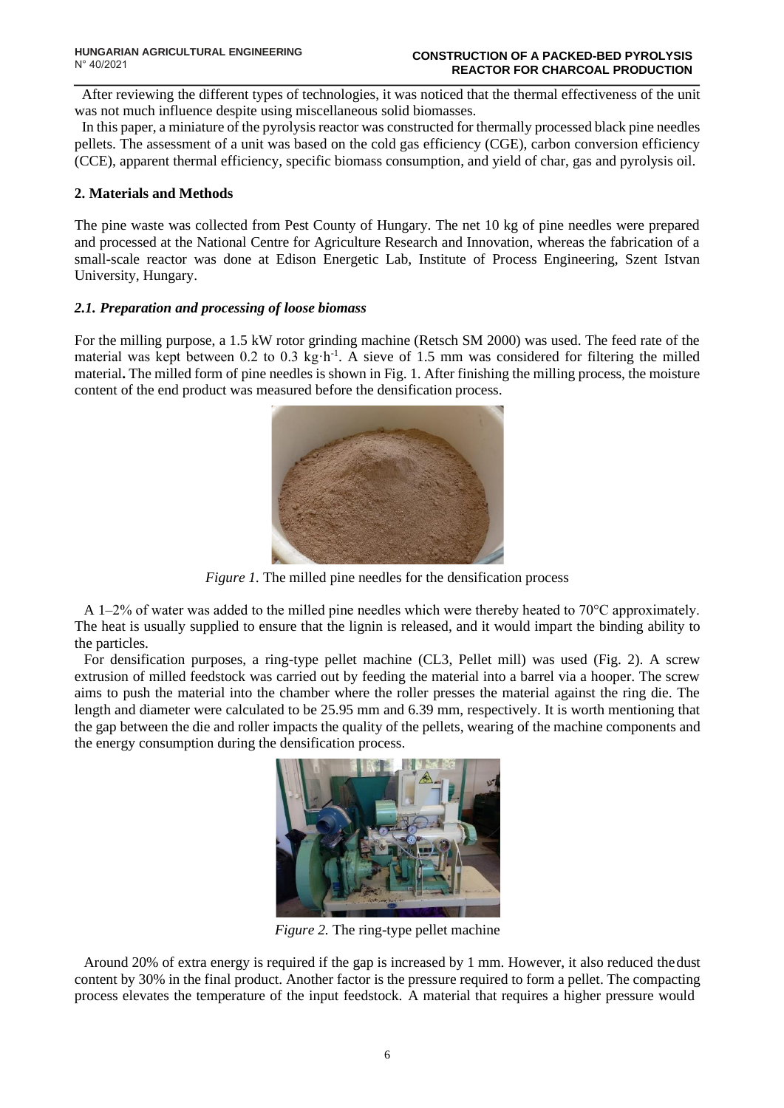After reviewing the different types of technologies, it was noticed that the thermal effectiveness of the unit was not much influence despite using miscellaneous solid biomasses.

In this paper, a miniature of the pyrolysis reactor was constructed for thermally processed black pine needles pellets. The assessment of a unit was based on the cold gas efficiency (CGE), carbon conversion efficiency (CCE), apparent thermal efficiency, specific biomass consumption, and yield of char, gas and pyrolysis oil.

# **2. Materials and Methods**

The pine waste was collected from Pest County of Hungary. The net 10 kg of pine needles were prepared and processed at the National Centre for Agriculture Research and Innovation, whereas the fabrication of a small-scale reactor was done at Edison Energetic Lab, Institute of Process Engineering, Szent Istvan University, Hungary.

### *2.1. Preparation and processing of loose biomass*

For the milling purpose, a 1.5 kW rotor grinding machine (Retsch SM 2000) was used. The feed rate of the material was kept between 0.2 to 0.3 kg·h<sup>-1</sup>. A sieve of 1.5 mm was considered for filtering the milled material**.** The milled form of pine needles is shown in Fig. 1. After finishing the milling process, the moisture content of the end product was measured before the densification process.



*Figure 1.* The milled pine needles for the densification process

A 1–2% of water was added to the milled pine needles which were thereby heated to 70°C approximately. The heat is usually supplied to ensure that the lignin is released, and it would impart the binding ability to the particles.

For densification purposes, a ring-type pellet machine (CL3, Pellet mill) was used (Fig. 2). A screw extrusion of milled feedstock was carried out by feeding the material into a barrel via a hooper. The screw aims to push the material into the chamber where the roller presses the material against the ring die. The length and diameter were calculated to be 25.95 mm and 6.39 mm, respectively. It is worth mentioning that the gap between the die and roller impacts the quality of the pellets, wearing of the machine components and the energy consumption during the densification process.



*Figure 2.* The ring-type pellet machine

Around 20% of extra energy is required if the gap is increased by 1 mm. However, it also reduced thedust content by 30% in the final product. Another factor is the pressure required to form a pellet. The compacting process elevates the temperature of the input feedstock. A material that requires a higher pressure would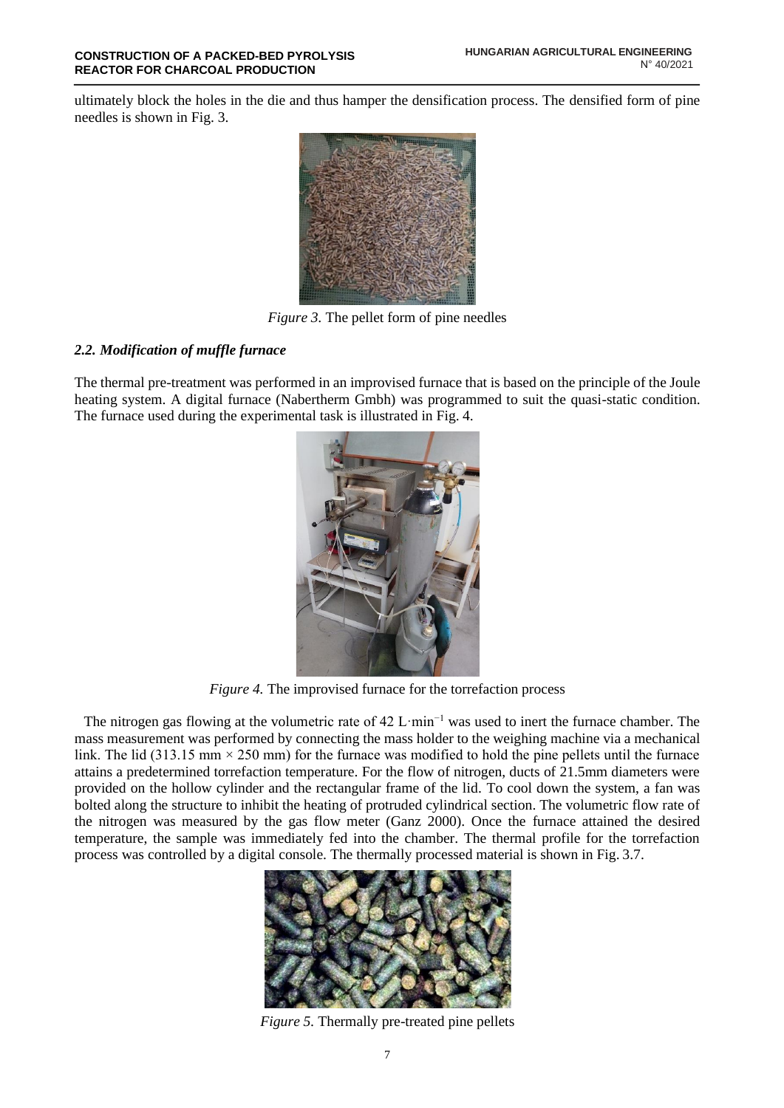ultimately block the holes in the die and thus hamper the densification process. The densified form of pine needles is shown in Fig. 3.



*Figure 3.* The pellet form of pine needles

# *2.2. Modification of muffle furnace*

The thermal pre-treatment was performed in an improvised furnace that is based on the principle of the Joule heating system. A digital furnace (Nabertherm Gmbh) was programmed to suit the quasi-static condition. The furnace used during the experimental task is illustrated in Fig. 4.



*Figure 4.* The improvised furnace for the torrefaction process

The nitrogen gas flowing at the volumetric rate of 42 L·min<sup>-1</sup> was used to inert the furnace chamber. The mass measurement was performed by connecting the mass holder to the weighing machine via a mechanical link. The lid (313.15 mm  $\times$  250 mm) for the furnace was modified to hold the pine pellets until the furnace attains a predetermined torrefaction temperature. For the flow of nitrogen, ducts of 21.5mm diameters were provided on the hollow cylinder and the rectangular frame of the lid. To cool down the system, a fan was bolted along the structure to inhibit the heating of protruded cylindrical section. The volumetric flow rate of the nitrogen was measured by the gas flow meter (Ganz 2000). Once the furnace attained the desired temperature, the sample was immediately fed into the chamber. The thermal profile for the torrefaction process was controlled by a digital console. The thermally processed material is shown in Fig. 3.7.



*Figure 5.* Thermally pre-treated pine pellets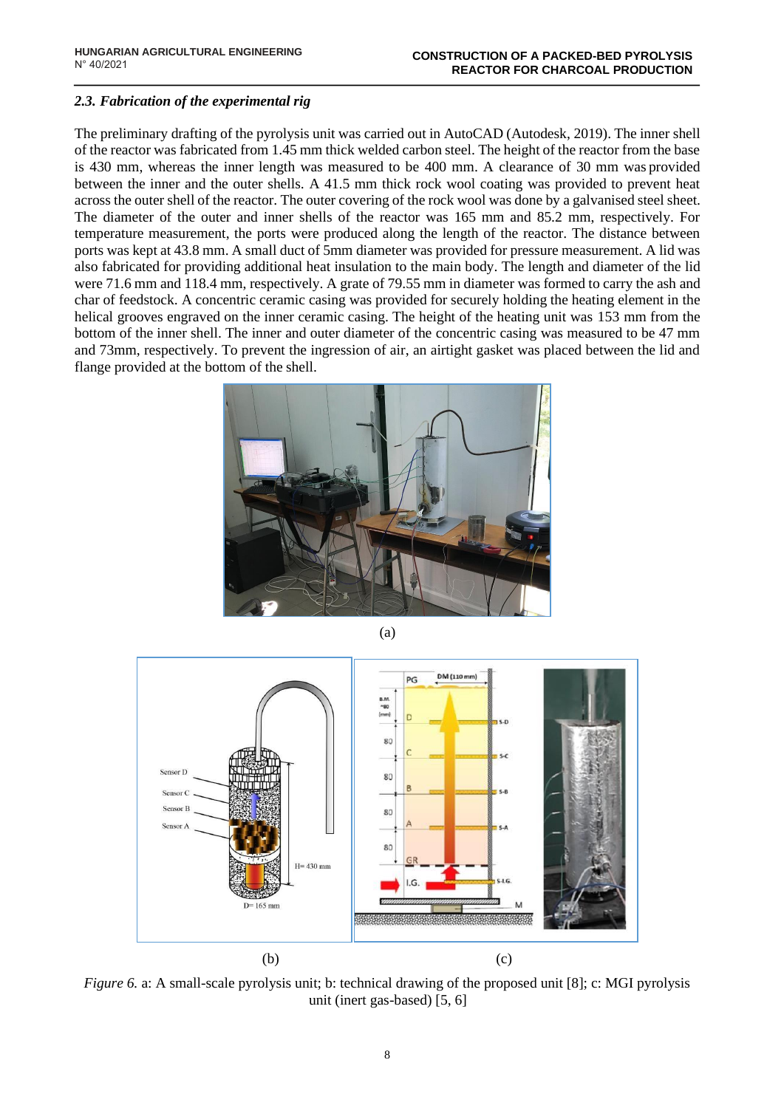# *2.3. Fabrication of the experimental rig*

The preliminary drafting of the pyrolysis unit was carried out in AutoCAD (Autodesk, 2019). The inner shell of the reactor was fabricated from 1.45 mm thick welded carbon steel. The height of the reactor from the base is 430 mm, whereas the inner length was measured to be 400 mm. A clearance of 30 mm was provided between the inner and the outer shells. A 41.5 mm thick rock wool coating was provided to prevent heat across the outer shell of the reactor. The outer covering of the rock wool was done by a galvanised steel sheet. The diameter of the outer and inner shells of the reactor was 165 mm and 85.2 mm, respectively. For temperature measurement, the ports were produced along the length of the reactor. The distance between ports was kept at 43.8 mm. A small duct of 5mm diameter was provided for pressure measurement. A lid was also fabricated for providing additional heat insulation to the main body. The length and diameter of the lid were 71.6 mm and 118.4 mm, respectively. A grate of 79.55 mm in diameter was formed to carry the ash and char of feedstock. A concentric ceramic casing was provided for securely holding the heating element in the helical grooves engraved on the inner ceramic casing. The height of the heating unit was 153 mm from the bottom of the inner shell. The inner and outer diameter of the concentric casing was measured to be 47 mm and 73mm, respectively. To prevent the ingression of air, an airtight gasket was placed between the lid and flange provided at the bottom of the shell.





*Figure 6. a: A small-scale pyrolysis unit; b: technical drawing of the proposed unit [8]; c: MGI pyrolysis* unit (inert gas-based) [5, 6]

(a)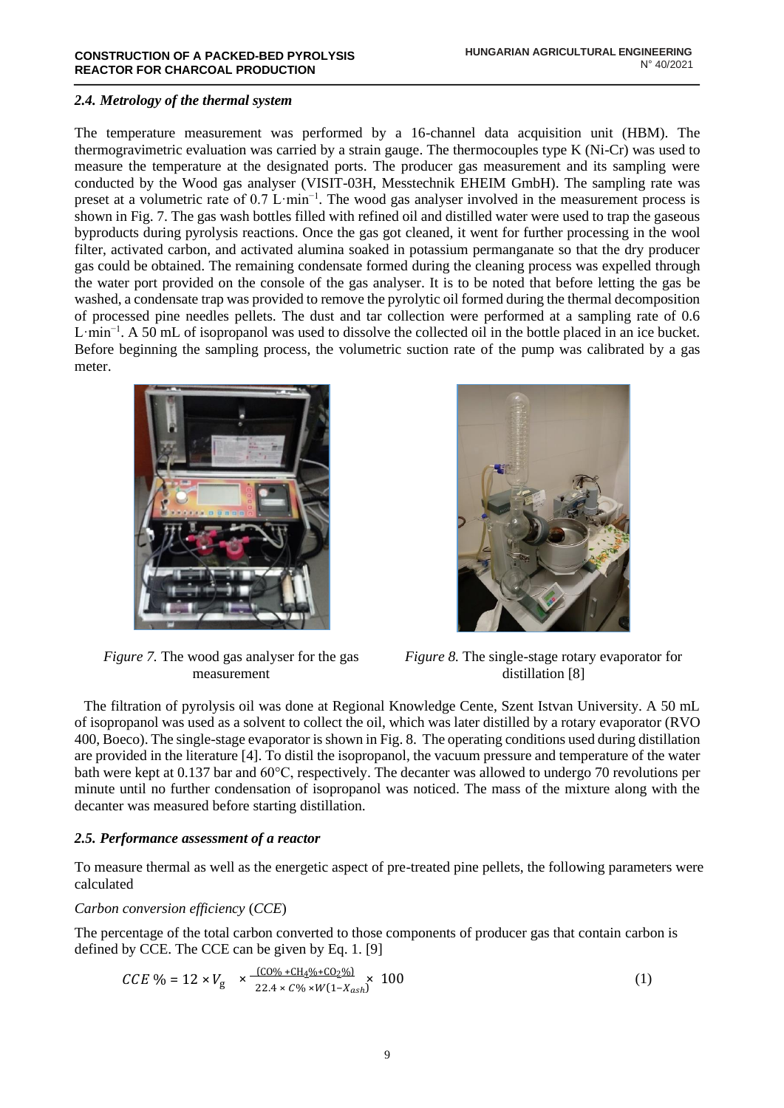# *2.4. Metrology of the thermal system*

The temperature measurement was performed by a 16-channel data acquisition unit (HBM). The thermogravimetric evaluation was carried by a strain gauge. The thermocouples type K (Ni-Cr) was used to measure the temperature at the designated ports. The producer gas measurement and its sampling were conducted by the Wood gas analyser (VISIT-03H, Messtechnik EHEIM GmbH). The sampling rate was preset at a volumetric rate of 0.7 L·min−1. The wood gas analyser involved in the measurement process is shown in Fig. 7. The gas wash bottles filled with refined oil and distilled water were used to trap the gaseous byproducts during pyrolysis reactions. Once the gas got cleaned, it went for further processing in the wool filter, activated carbon, and activated alumina soaked in potassium permanganate so that the dry producer gas could be obtained. The remaining condensate formed during the cleaning process was expelled through the water port provided on the console of the gas analyser. It is to be noted that before letting the gas be washed, a condensate trap was provided to remove the pyrolytic oil formed during the thermal decomposition of processed pine needles pellets. The dust and tar collection were performed at a sampling rate of 0.6 L·min−1. A 50 mL of isopropanol was used to dissolve the collected oil in the bottle placed in an ice bucket. Before beginning the sampling process, the volumetric suction rate of the pump was calibrated by a gas meter.



*Figure 7.* The wood gas analyser for the gas measurement



*Figure 8.* The single-stage rotary evaporator for distillation [8]

The filtration of pyrolysis oil was done at Regional Knowledge Cente, Szent Istvan University. A 50 mL of isopropanol was used as a solvent to collect the oil, which was later distilled by a rotary evaporator (RVO 400, Boeco). The single-stage evaporator is shown in Fig. 8. The operating conditions used during distillation are provided in the literature [4]. To distil the isopropanol, the vacuum pressure and temperature of the water bath were kept at 0.137 bar and 60°C, respectively. The decanter was allowed to undergo 70 revolutions per minute until no further condensation of isopropanol was noticed. The mass of the mixture along with the decanter was measured before starting distillation.

# *2.5. Performance assessment of a reactor*

To measure thermal as well as the energetic aspect of pre-treated pine pellets, the following parameters were calculated

# *Carbon conversion efficiency* (*CCE*)

The percentage of the total carbon converted to those components of producer gas that contain carbon is defined by CCE. The CCE can be given by Eq. 1. [9]

$$
CCE \% = 12 \times V_{g} \times \frac{(CO\% + CH_{4}\% + CO_{2}\%)}{22.4 \times C\% \times W(1 - X_{ash})} \times 100
$$
 (1)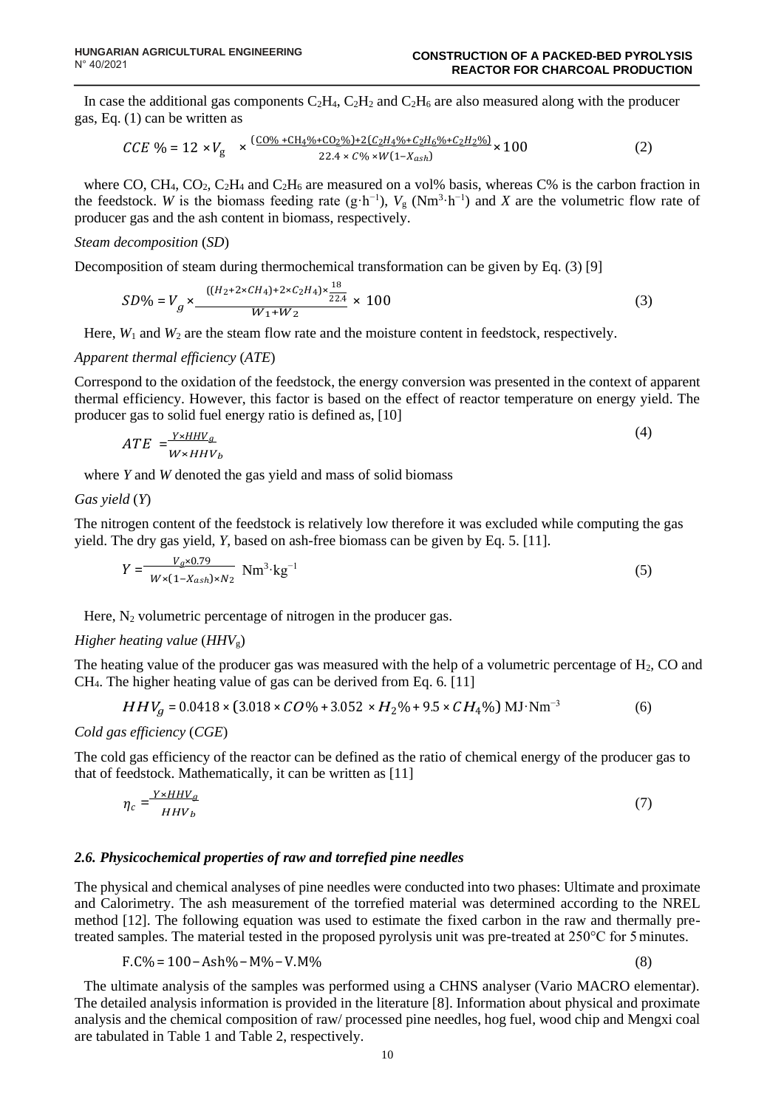In case the additional gas components  $C_2H_4$ ,  $C_2H_2$  and  $C_2H_6$  are also measured along with the producer gas, Eq. (1) can be written as

$$
CCE \, \% = 12 \times V_g \times \frac{(C0\% + CH_4\% + C0_2\%) + 2(C_2H_4\% + C_2H_6\% + C_2H_2\%)}{22.4 \times C\% \times W(1 - X_{ash})} \times 100 \tag{2}
$$

where CO, CH<sub>4</sub>, CO<sub>2</sub>, C<sub>2</sub>H<sub>4</sub> and C<sub>2</sub>H<sub>6</sub> are measured on a vol% basis, whereas C% is the carbon fraction in the feedstock. *W* is the biomass feeding rate  $(g \cdot h^{-1})$ ,  $V_g$  (Nm<sup>3</sup> $\cdot h^{-1}$ ) and *X* are the volumetric flow rate of producer gas and the ash content in biomass, respectively.

#### *Steam decomposition* (*SD*)

Decomposition of steam during thermochemical transformation can be given by Eq. (3) [9]

$$
SD\% = V_g \times \frac{(H_{2+2 \times CH_4) + 2 \times C_2 H_4] \times \frac{18}{22.4}}{W_1 + W_2} \times 100
$$
\n(3)

Here,  $W_1$  and  $W_2$  are the steam flow rate and the moisture content in feedstock, respectively.

#### *Apparent thermal efficiency* (*ATE*)

Correspond to the oxidation of the feedstock, the energy conversion was presented in the context of apparent thermal efficiency. However, this factor is based on the effect of reactor temperature on energy yield. The producer gas to solid fuel energy ratio is defined as, [10]

$$
ATE = \frac{Y \times HHV_g}{W \times HHV_b} \tag{4}
$$

where *Y* and *W* denoted the gas yield and mass of solid biomass

#### *Gas yield* (*Y*)

The nitrogen content of the feedstock is relatively low therefore it was excluded while computing the gas yield. The dry gas yield, *Y*, based on ash-free biomass can be given by Eq. 5. [11].

$$
Y = \frac{V_g \times 0.79}{W \times (1 - X_{ash}) \times N_2} \text{Nm}^3 \cdot \text{kg}^{-1}
$$
 (5)

Here,  $N_2$  volumetric percentage of nitrogen in the producer gas.

#### *Higher heating value* (*HHV*g)

The heating value of the producer gas was measured with the help of a volumetric percentage of  $H_2$ , CO and CH4. The higher heating value of gas can be derived from Eq. 6. [11]

$$
HHV_g = 0.0418 \times (3.018 \times CO\% + 3.052 \times H_2\% + 9.5 \times CH_4\%) \text{ MJ} \cdot \text{Nm}^{-3}
$$
 (6)

*Cold gas efficiency* (*CGE*)

The cold gas efficiency of the reactor can be defined as the ratio of chemical energy of the producer gas to that of feedstock. Mathematically, it can be written as [11]

$$
\eta_c = \frac{Y \times HHV_g}{HHV_b} \tag{7}
$$

#### *2.6. Physicochemical properties of raw and torrefied pine needles*

The physical and chemical analyses of pine needles were conducted into two phases: Ultimate and proximate and Calorimetry. The ash measurement of the torrefied material was determined according to the NREL method [12]. The following equation was used to estimate the fixed carbon in the raw and thermally pretreated samples. The material tested in the proposed pyrolysis unit was pre-treated at  $250^{\circ}$ C for 5 minutes.

$$
F.C\% = 100 - Ash\% - M\% - V.M\%
$$
\n(8)

The ultimate analysis of the samples was performed using a CHNS analyser (Vario MACRO elementar). The detailed analysis information is provided in the literature [8]. Information about physical and proximate analysis and the chemical composition of raw/ processed pine needles, hog fuel, wood chip and Mengxi coal are tabulated in Table 1 and Table 2, respectively.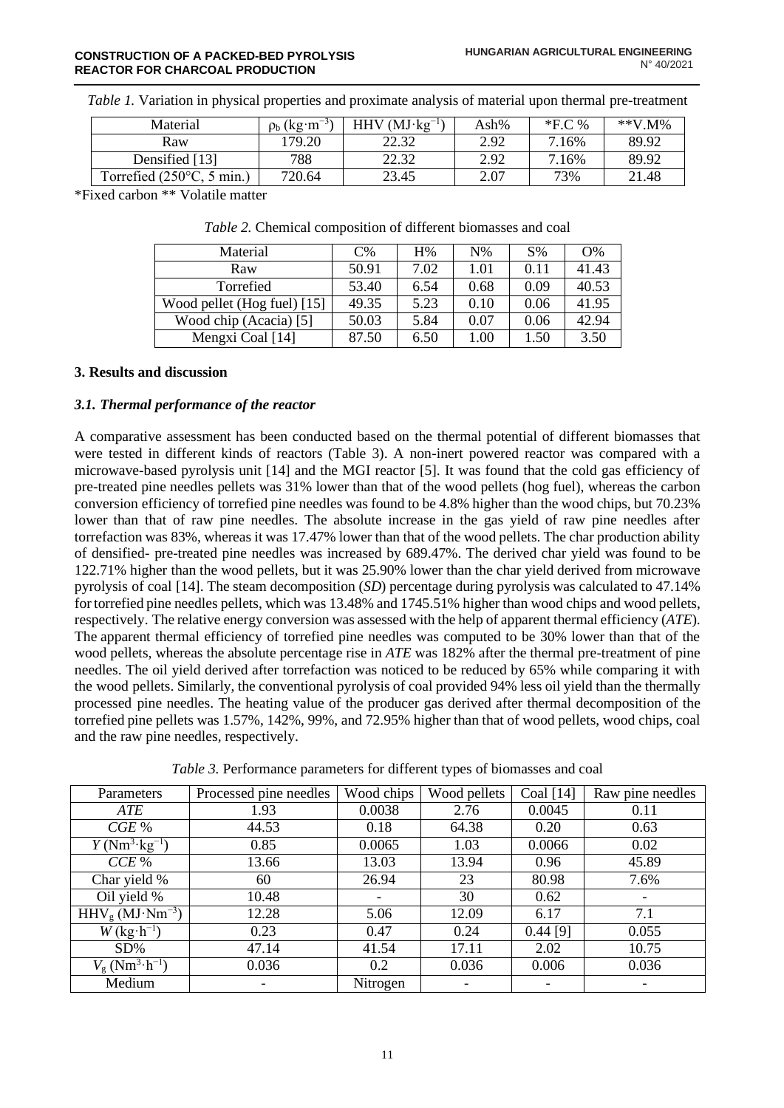#### **CONSTRUCTION OF A PACKED-BED PYROLYSIS REACTOR FOR CHARCOAL PRODUCTION**

|  |  |  | Table 1. Variation in physical properties and proximate analysis of material upon thermal pre-treatment |
|--|--|--|---------------------------------------------------------------------------------------------------------|
|  |  |  |                                                                                                         |

| $\rho_b$ (kg·m <sup>-3</sup> ) | $HHV$ (MJ $\cdot$ kg <sup>-1</sup> ) | Ash% | $*F.C$ % | ** $V.M\%$ |
|--------------------------------|--------------------------------------|------|----------|------------|
| 179.20                         | 22.32                                | 2.92 | 7.16%    | 89.92      |
| 788                            | 22.32                                | 2.92 | 7.16%    | 89.92      |
| 720.64                         | 23.45                                | 2.07 | 73%      | 21.48      |
|                                |                                      |      |          |            |

\*Fixed carbon \*\* Volatile matter

| Material                    | C%    | H%   | $N\%$ | $S\%$ | $O\%$ |
|-----------------------------|-------|------|-------|-------|-------|
| Raw                         | 50.91 | 7.02 | 1.01  | 0.11  | 41.43 |
| Torrefied                   | 53.40 | 6.54 | 0.68  | 0.09  | 40.53 |
| Wood pellet (Hog fuel) [15] | 49.35 | 5.23 | 0.10  | 0.06  | 41.95 |
| Wood chip (Acacia) [5]      | 50.03 | 5.84 | 0.07  | 0.06  | 42.94 |
| Mengxi Coal [14]            | 87.50 | 6.50 | 1.00  | 1.50  | 3.50  |

# **3. Results and discussion**

# *3.1. Thermal performance of the reactor*

A comparative assessment has been conducted based on the thermal potential of different biomasses that were tested in different kinds of reactors (Table 3). A non-inert powered reactor was compared with a microwave-based pyrolysis unit [14] and the MGI reactor [5]. It was found that the cold gas efficiency of pre-treated pine needles pellets was 31% lower than that of the wood pellets (hog fuel), whereas the carbon conversion efficiency of torrefied pine needles was found to be 4.8% higher than the wood chips, but 70.23% lower than that of raw pine needles. The absolute increase in the gas yield of raw pine needles after torrefaction was 83%, whereas it was 17.47% lower than that of the wood pellets. The char production ability of densified- pre-treated pine needles was increased by 689.47%. The derived char yield was found to be 122.71% higher than the wood pellets, but it was 25.90% lower than the char yield derived from microwave pyrolysis of coal [14]. The steam decomposition (*SD*) percentage during pyrolysis was calculated to 47.14% for torrefied pine needles pellets, which was 13.48% and 1745.51% higher than wood chips and wood pellets, respectively. The relative energy conversion was assessed with the help of apparent thermal efficiency (*ATE*). The apparent thermal efficiency of torrefied pine needles was computed to be 30% lower than that of the wood pellets, whereas the absolute percentage rise in *ATE* was 182% after the thermal pre-treatment of pine needles. The oil yield derived after torrefaction was noticed to be reduced by 65% while comparing it with the wood pellets. Similarly, the conventional pyrolysis of coal provided 94% less oil yield than the thermally processed pine needles. The heating value of the producer gas derived after thermal decomposition of the torrefied pine pellets was 1.57%, 142%, 99%, and 72.95% higher than that of wood pellets, wood chips, coal and the raw pine needles, respectively.

| Parameters                                      | Processed pine needles | Wood chips | Wood pellets | Coal [14]  | Raw pine needles |
|-------------------------------------------------|------------------------|------------|--------------|------------|------------------|
| ATE                                             | 1.93                   | 0.0038     | 2.76         | 0.0045     | 0.11             |
| $CGE$ %                                         | 44.53                  | 0.18       | 64.38        | 0.20       | 0.63             |
| $Y(Nm^3 \cdot \text{kg}^{-1})$                  | 0.85                   | 0.0065     | 1.03         | 0.0066     | 0.02             |
| CCE %                                           | 13.66                  | 13.03      | 13.94        | 0.96       | 45.89            |
| Char yield %                                    | 60                     | 26.94      | 23           | 80.98      | 7.6%             |
| Oil yield %                                     | 10.48                  |            | 30           | 0.62       |                  |
| $HHVg (MJ·Nm-3)$                                | 12.28                  | 5.06       | 12.09        | 6.17       | 7.1              |
| $W(\text{kg}\cdot\text{h}^{-1})$                | 0.23                   | 0.47       | 0.24         | $0.44$ [9] | 0.055            |
| $SD\%$                                          | 47.14                  | 41.54      | 17.11        | 2.02       | 10.75            |
| $V_{\rm g}$ (Nm <sup>3</sup> ·h <sup>-1</sup> ) | 0.036                  | 0.2        | 0.036        | 0.006      | 0.036            |
| Medium                                          | ۰                      | Nitrogen   |              |            |                  |

*Table 3.* Performance parameters for different types of biomasses and coal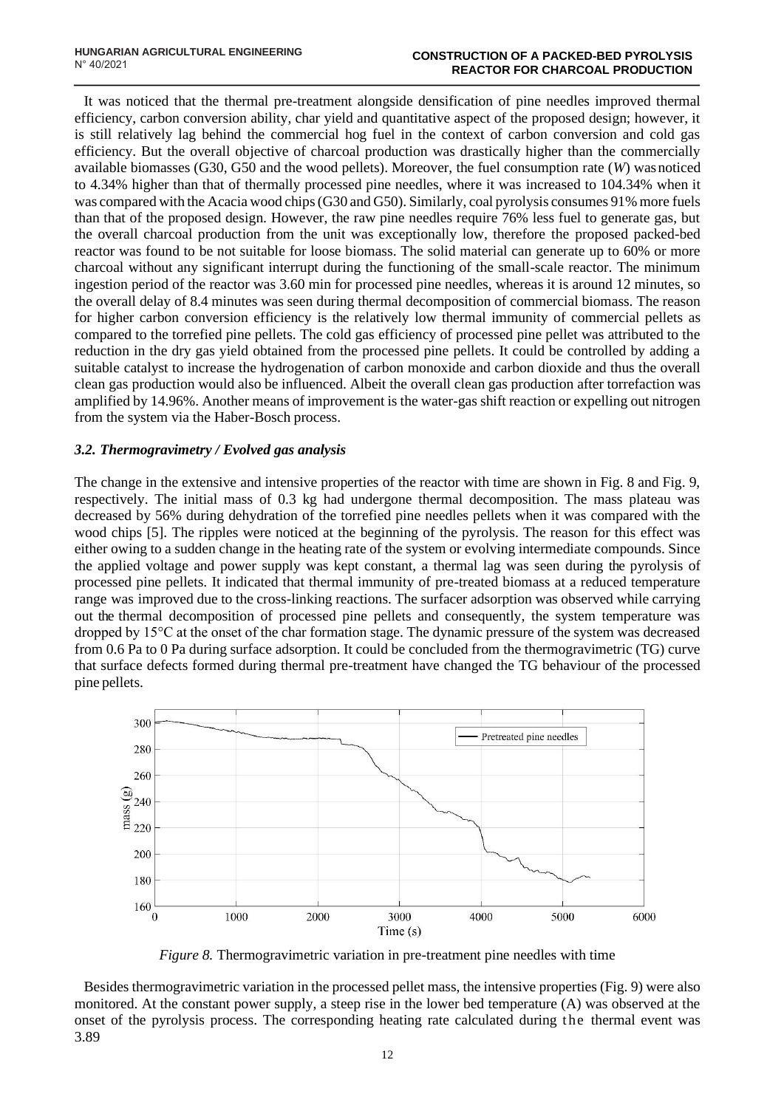It was noticed that the thermal pre-treatment alongside densification of pine needles improved thermal efficiency, carbon conversion ability, char yield and quantitative aspect of the proposed design; however, it is still relatively lag behind the commercial hog fuel in the context of carbon conversion and cold gas efficiency. But the overall objective of charcoal production was drastically higher than the commercially available biomasses (G30, G50 and the wood pellets). Moreover, the fuel consumption rate (*W*) wasnoticed to 4.34% higher than that of thermally processed pine needles, where it was increased to 104.34% when it was compared with the Acacia wood chips (G30 and G50). Similarly, coal pyrolysis consumes 91% more fuels than that of the proposed design. However, the raw pine needles require 76% less fuel to generate gas, but the overall charcoal production from the unit was exceptionally low, therefore the proposed packed-bed reactor was found to be not suitable for loose biomass. The solid material can generate up to 60% or more charcoal without any significant interrupt during the functioning of the small-scale reactor. The minimum ingestion period of the reactor was 3.60 min for processed pine needles, whereas it is around 12 minutes, so the overall delay of 8.4 minutes was seen during thermal decomposition of commercial biomass. The reason for higher carbon conversion efficiency is the relatively low thermal immunity of commercial pellets as compared to the torrefied pine pellets. The cold gas efficiency of processed pine pellet was attributed to the reduction in the dry gas yield obtained from the processed pine pellets. It could be controlled by adding a suitable catalyst to increase the hydrogenation of carbon monoxide and carbon dioxide and thus the overall clean gas production would also be influenced. Albeit the overall clean gas production after torrefaction was amplified by 14.96%. Another means of improvement is the water-gas shift reaction or expelling out nitrogen from the system via the Haber-Bosch process.

# *3.2. Thermogravimetry / Evolved gas analysis*

The change in the extensive and intensive properties of the reactor with time are shown in Fig. 8 and Fig. 9, respectively. The initial mass of 0.3 kg had undergone thermal decomposition. The mass plateau was decreased by 56% during dehydration of the torrefied pine needles pellets when it was compared with the wood chips [5]. The ripples were noticed at the beginning of the pyrolysis. The reason for this effect was either owing to a sudden change in the heating rate of the system or evolving intermediate compounds. Since the applied voltage and power supply was kept constant, a thermal lag was seen during the pyrolysis of processed pine pellets. It indicated that thermal immunity of pre-treated biomass at a reduced temperature range was improved due to the cross-linking reactions. The surfacer adsorption was observed while carrying out the thermal decomposition of processed pine pellets and consequently, the system temperature was dropped by 15°C at the onset of the char formation stage. The dynamic pressure of the system was decreased from 0.6 Pa to 0 Pa during surface adsorption. It could be concluded from the thermogravimetric (TG) curve that surface defects formed during thermal pre-treatment have changed the TG behaviour of the processed pine pellets.



*Figure 8.* Thermogravimetric variation in pre-treatment pine needles with time

Besides thermogravimetric variation in the processed pellet mass, the intensive properties (Fig. 9) were also monitored. At the constant power supply, a steep rise in the lower bed temperature (A) was observed at the onset of the pyrolysis process. The corresponding heating rate calculated during the thermal event was 3.89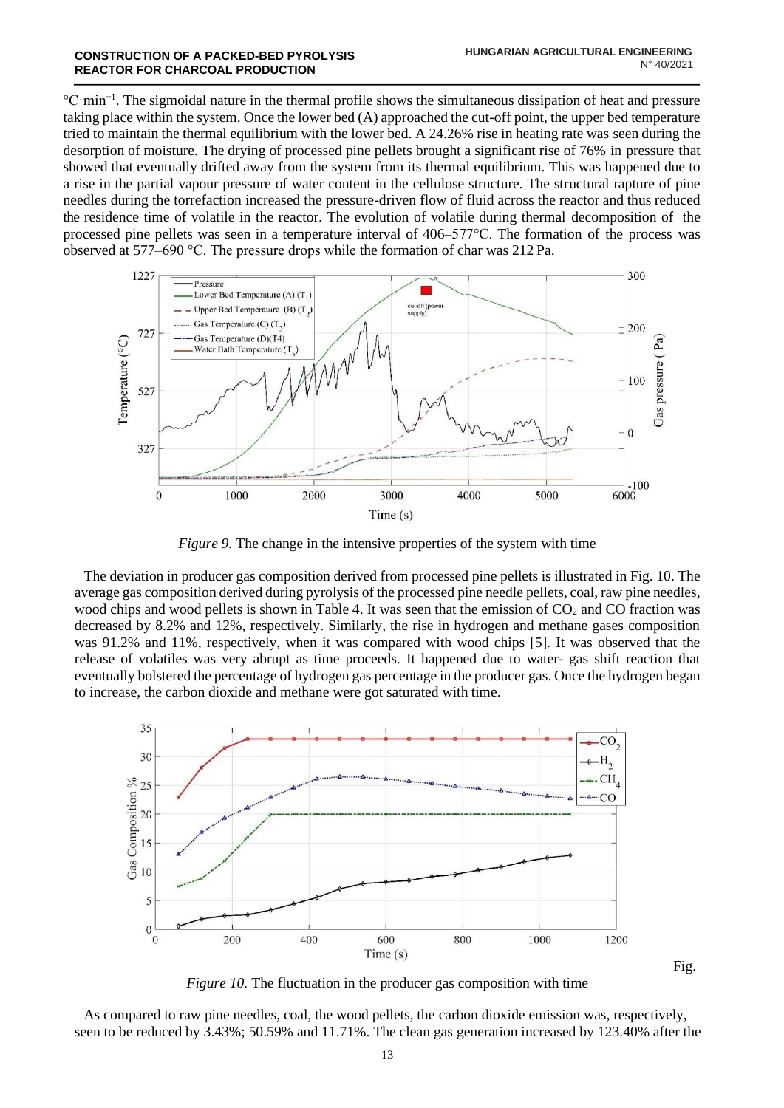Fig.

°C·min−1. The sigmoidal nature in the thermal profile shows the simultaneous dissipation of heat and pressure taking place within the system. Once the lower bed (A) approached the cut-off point, the upper bed temperature tried to maintain the thermal equilibrium with the lower bed. A 24.26% rise in heating rate was seen during the desorption of moisture. The drying of processed pine pellets brought a significant rise of 76% in pressure that showed that eventually drifted away from the system from its thermal equilibrium. This was happened due to a rise in the partial vapour pressure of water content in the cellulose structure. The structural rapture of pine needles during the torrefaction increased the pressure-driven flow of fluid across the reactor and thus reduced the residence time of volatile in the reactor. The evolution of volatile during thermal decomposition of the processed pine pellets was seen in a temperature interval of 406–577°C. The formation of the process was observed at 577–690 °C. The pressure drops while the formation of char was 212 Pa.



*Figure 9.* The change in the intensive properties of the system with time

The deviation in producer gas composition derived from processed pine pellets is illustrated in Fig. 10. The average gas composition derived during pyrolysis of the processed pine needle pellets, coal, raw pine needles, wood chips and wood pellets is shown in Table 4. It was seen that the emission of  $CO<sub>2</sub>$  and CO fraction was decreased by 8.2% and 12%, respectively. Similarly, the rise in hydrogen and methane gases composition was 91.2% and 11%, respectively, when it was compared with wood chips [5]. It was observed that the release of volatiles was very abrupt as time proceeds. It happened due to water- gas shift reaction that eventually bolstered the percentage of hydrogen gas percentage in the producer gas. Once the hydrogen began to increase, the carbon dioxide and methane were got saturated with time.



*Figure 10.* The fluctuation in the producer gas composition with time

As compared to raw pine needles, coal, the wood pellets, the carbon dioxide emission was, respectively, seen to be reduced by 3.43%; 50.59% and 11.71%. The clean gas generation increased by 123.40% after the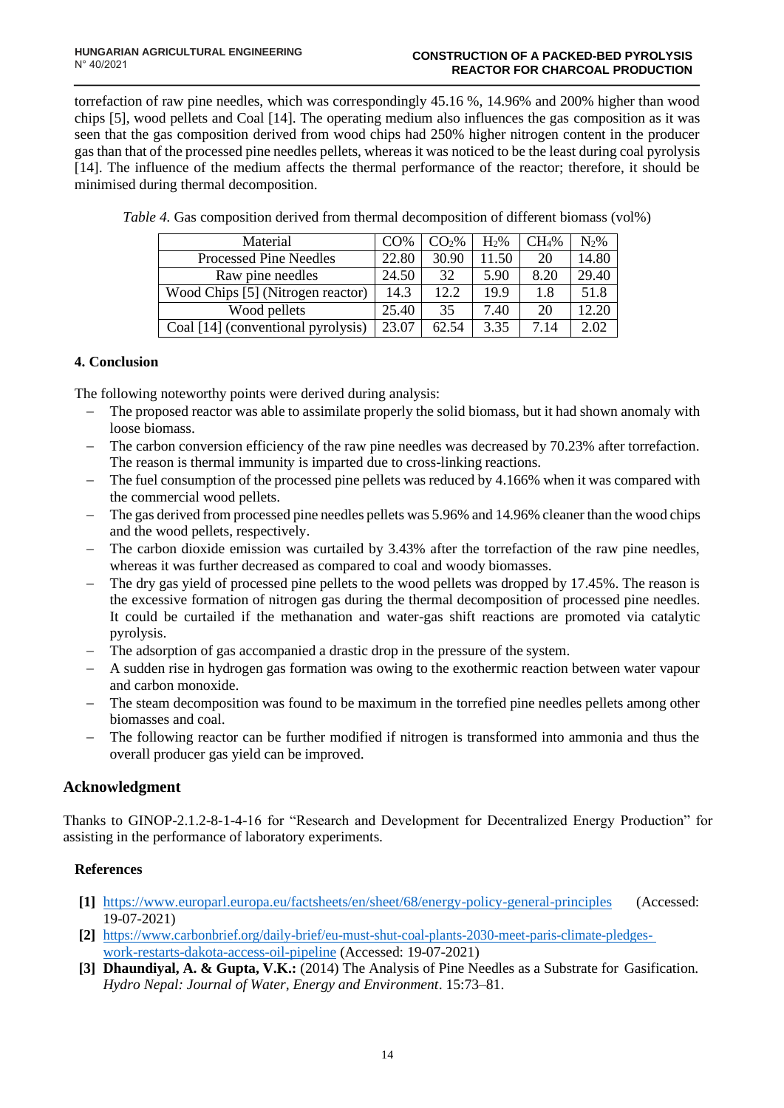torrefaction of raw pine needles, which was correspondingly 45.16 %, 14.96% and 200% higher than wood chips [5], wood pellets and Coal [14]. The operating medium also influences the gas composition as it was seen that the gas composition derived from wood chips had 250% higher nitrogen content in the producer gas than that of the processed pine needles pellets, whereas it was noticed to be the least during coal pyrolysis [14]. The influence of the medium affects the thermal performance of the reactor; therefore, it should be minimised during thermal decomposition.

| Material                           | CO%   | CO <sub>2</sub> % | $H_2\%$ | CH <sub>4</sub> % | $N_2\%$ |
|------------------------------------|-------|-------------------|---------|-------------------|---------|
| <b>Processed Pine Needles</b>      | 22.80 | 30.90             | 11.50   | 20                | 14.80   |
| Raw pine needles                   | 24.50 | 32                | 5.90    | 8.20              | 29.40   |
| Wood Chips [5] (Nitrogen reactor)  | 14.3  | 12.2              | 19.9    | 1.8               | 51.8    |
| Wood pellets                       | 25.40 | 35                | 7.40    | 20                | $-2.20$ |
| Coal [14] (conventional pyrolysis) | 23.07 | 62.54             | 3.35    | 7.14              | 2.02    |

|  | Table 4. Gas composition derived from thermal decomposition of different biomass (vol%) |  |  |
|--|-----------------------------------------------------------------------------------------|--|--|
|  |                                                                                         |  |  |

# **4. Conclusion**

The following noteworthy points were derived during analysis:

- The proposed reactor was able to assimilate properly the solid biomass, but it had shown anomaly with loose biomass.
- − The carbon conversion efficiency of the raw pine needles was decreased by 70.23% after torrefaction. The reason is thermal immunity is imparted due to cross-linking reactions.
- − The fuel consumption of the processed pine pellets was reduced by 4.166% when it was compared with the commercial wood pellets.
- − The gas derived from processed pine needles pellets was 5.96% and 14.96% cleaner than the wood chips and the wood pellets, respectively.
- − The carbon dioxide emission was curtailed by 3.43% after the torrefaction of the raw pine needles, whereas it was further decreased as compared to coal and woody biomasses.
- The dry gas yield of processed pine pellets to the wood pellets was dropped by 17.45%. The reason is the excessive formation of nitrogen gas during the thermal decomposition of processed pine needles. It could be curtailed if the methanation and water-gas shift reactions are promoted via catalytic pyrolysis.
- The adsorption of gas accompanied a drastic drop in the pressure of the system.
- − A sudden rise in hydrogen gas formation was owing to the exothermic reaction between water vapour and carbon monoxide.
- − The steam decomposition was found to be maximum in the torrefied pine needles pellets among other biomasses and coal.
- The following reactor can be further modified if nitrogen is transformed into ammonia and thus the overall producer gas yield can be improved.

# **Acknowledgment**

Thanks to GINOP-2.1.2-8-1-4-16 for "Research and Development for Decentralized Energy Production" for assisting in the performance of laboratory experiments.

# **References**

- **[1]** <https://www.europarl.europa.eu/factsheets/en/sheet/68/energy-policy-general-principles> (Accessed: 19-07-2021)
- **[2]** [https://www.carbonbrief.org/daily-brief/eu-must-shut-coal-plants-2030-meet-paris-climate-pledges](https://www.carbonbrief.org/daily-brief/eu-must-shut-coal-plants-2030-meet-paris-climate-pledges-work-restarts-dakota-access-oil-pipeline)[work-restarts-dakota-access-oil-pipeline](https://www.carbonbrief.org/daily-brief/eu-must-shut-coal-plants-2030-meet-paris-climate-pledges-work-restarts-dakota-access-oil-pipeline) (Accessed: 19-07-2021)
- **[3] Dhaundiyal, A. & Gupta, V.K.:** (2014) The Analysis of Pine Needles as a Substrate for Gasification. *Hydro Nepal: Journal of Water, Energy and Environment*. 15:73–81.